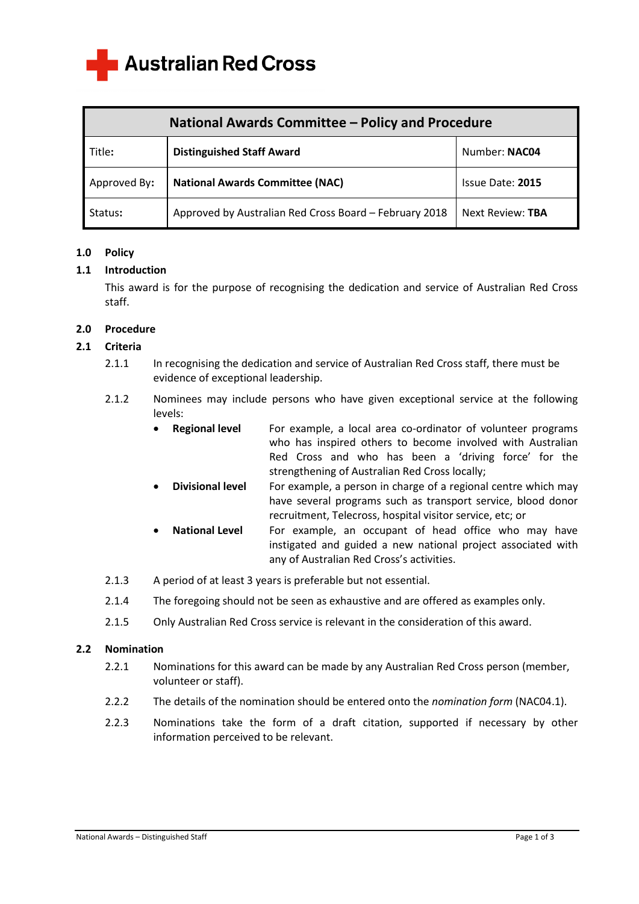**Australian Red Cross** 

| <b>National Awards Committee - Policy and Procedure</b> |                                                        |                  |
|---------------------------------------------------------|--------------------------------------------------------|------------------|
| Title:                                                  | <b>Distinguished Staff Award</b>                       | Number: NAC04    |
| Approved By:                                            | <b>National Awards Committee (NAC)</b>                 | Issue Date: 2015 |
| Status:                                                 | Approved by Australian Red Cross Board - February 2018 | Next Review: TBA |

## **1.0 Policy**

### **1.1 Introduction**

 This award is for the purpose of recognising the dedication and service of Australian Red Cross staff.

#### **2.0 Procedure**

# **2.1 Criteria**

- 2.1.1 In recognising the dedication and service of Australian Red Cross staff, there must be evidence of exceptional leadership.
- 2.1.2 Nominees may include persons who have given exceptional service at the following levels:
	- **•** Regional level For example, a local area co-ordinator of volunteer programs who has inspired others to become involved with Australian Red Cross and who has been a 'driving force' for the strengthening of Australian Red Cross locally;
	- **Divisional level** For example, a person in charge of a regional centre which may have several programs such as transport service, blood donor recruitment, Telecross, hospital visitor service, etc; or
	- **National Level** For example, an occupant of head office who may have instigated and guided a new national project associated with any of Australian Red Cross's activities.
- 2.1.3 A period of at least 3 years is preferable but not essential.
- 2.1.4 The foregoing should not be seen as exhaustive and are offered as examples only.
- 2.1.5 Only Australian Red Cross service is relevant in the consideration of this award.

#### **2.2 Nomination**

- 2.2.1 Nominations for this award can be made by any Australian Red Cross person (member, volunteer or staff).
- 2.2.2 The details of the nomination should be entered onto the *nomination form* (NAC04.1).
- 2.2.3 Nominations take the form of a draft citation, supported if necessary by other information perceived to be relevant.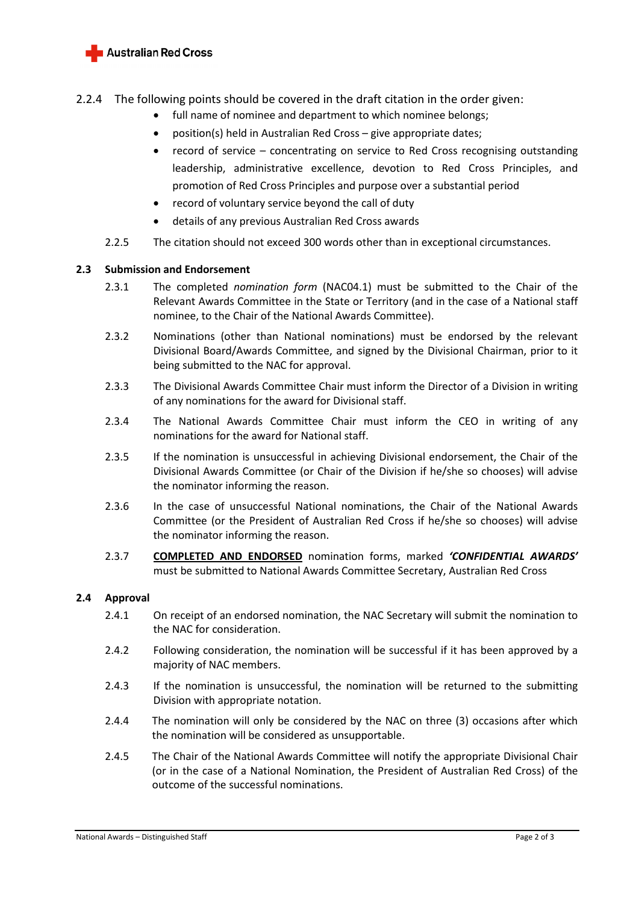

# 2.2.4 The following points should be covered in the draft citation in the order given:

- full name of nominee and department to which nominee belongs;
- position(s) held in Australian Red Cross give appropriate dates;
- record of service concentrating on service to Red Cross recognising outstanding leadership, administrative excellence, devotion to Red Cross Principles, and promotion of Red Cross Principles and purpose over a substantial period
- record of voluntary service beyond the call of duty
- details of any previous Australian Red Cross awards
- 2.2.5 The citation should not exceed 300 words other than in exceptional circumstances.

### **2.3 Submission and Endorsement**

- 2.3.1 The completed *nomination form* (NAC04.1) must be submitted to the Chair of the Relevant Awards Committee in the State or Territory (and in the case of a National staff nominee, to the Chair of the National Awards Committee).
- 2.3.2 Nominations (other than National nominations) must be endorsed by the relevant Divisional Board/Awards Committee, and signed by the Divisional Chairman, prior to it being submitted to the NAC for approval.
- 2.3.3 The Divisional Awards Committee Chair must inform the Director of a Division in writing of any nominations for the award for Divisional staff.
- 2.3.4 The National Awards Committee Chair must inform the CEO in writing of any nominations for the award for National staff.
- 2.3.5 If the nomination is unsuccessful in achieving Divisional endorsement, the Chair of the Divisional Awards Committee (or Chair of the Division if he/she so chooses) will advise the nominator informing the reason.
- 2.3.6 In the case of unsuccessful National nominations, the Chair of the National Awards Committee (or the President of Australian Red Cross if he/she so chooses) will advise the nominator informing the reason.
- 2.3.7 **COMPLETED AND ENDORSED** nomination forms, marked *'CONFIDENTIAL AWARDS'* must be submitted to National Awards Committee Secretary, Australian Red Cross

### **2.4 Approval**

- 2.4.1 On receipt of an endorsed nomination, the NAC Secretary will submit the nomination to the NAC for consideration.
- 2.4.2 Following consideration, the nomination will be successful if it has been approved by a majority of NAC members.
- 2.4.3 If the nomination is unsuccessful, the nomination will be returned to the submitting Division with appropriate notation.
- 2.4.4 The nomination will only be considered by the NAC on three (3) occasions after which the nomination will be considered as unsupportable.
- 2.4.5 The Chair of the National Awards Committee will notify the appropriate Divisional Chair (or in the case of a National Nomination, the President of Australian Red Cross) of the outcome of the successful nominations.